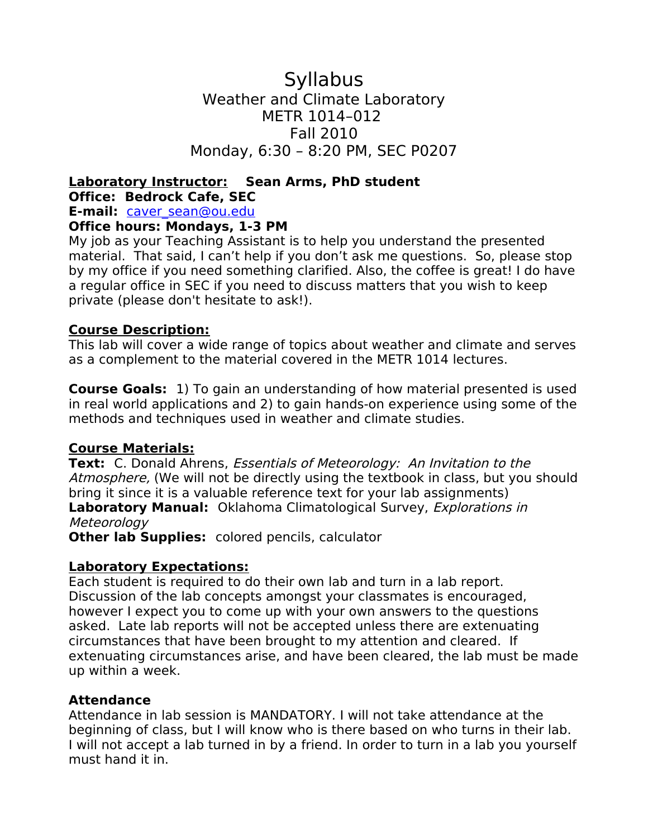**Syllabus** Weather and Climate Laboratory METR 1014–012 Fall 2010 Monday, 6:30 – 8:20 PM, SEC P0207

# **Laboratory Instructor: Sean Arms, PhD student Office: Bedrock Cafe, SEC**

**E-mail:** [caver\\_sean@ou.edu](mailto:caver_sean@ou.edu)

### **Office hours: Mondays, 1-3 PM**

My job as your Teaching Assistant is to help you understand the presented material. That said, I can't help if you don't ask me questions. So, please stop by my office if you need something clarified. Also, the coffee is great! I do have a regular office in SEC if you need to discuss matters that you wish to keep private (please don't hesitate to ask!).

### **Course Description:**

This lab will cover a wide range of topics about weather and climate and serves as a complement to the material covered in the METR 1014 lectures.

**Course Goals:** 1) To gain an understanding of how material presented is used in real world applications and 2) to gain hands-on experience using some of the methods and techniques used in weather and climate studies.

## **Course Materials:**

**Text:** C. Donald Ahrens, Essentials of Meteorology: An Invitation to the Atmosphere, (We will not be directly using the textbook in class, but you should bring it since it is a valuable reference text for your lab assignments) **Laboratory Manual:** Oklahoma Climatological Survey, Explorations in Meteorology

**Other lab Supplies:** colored pencils, calculator

### **Laboratory Expectations:**

Each student is required to do their own lab and turn in a lab report. Discussion of the lab concepts amongst your classmates is encouraged, however I expect you to come up with your own answers to the questions asked. Late lab reports will not be accepted unless there are extenuating circumstances that have been brought to my attention and cleared. If extenuating circumstances arise, and have been cleared, the lab must be made up within a week.

### **Attendance**

Attendance in lab session is MANDATORY. I will not take attendance at the beginning of class, but I will know who is there based on who turns in their lab. I will not accept a lab turned in by a friend. In order to turn in a lab you yourself must hand it in.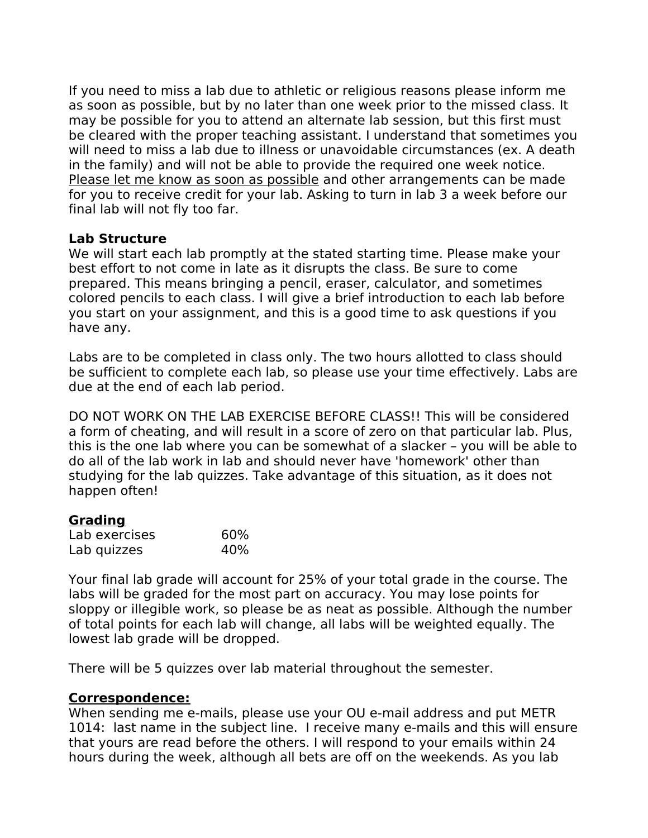If you need to miss a lab due to athletic or religious reasons please inform me as soon as possible, but by no later than one week prior to the missed class. It may be possible for you to attend an alternate lab session, but this first must be cleared with the proper teaching assistant. I understand that sometimes you will need to miss a lab due to illness or unavoidable circumstances (ex. A death in the family) and will not be able to provide the required one week notice. Please let me know as soon as possible and other arrangements can be made for you to receive credit for your lab. Asking to turn in lab 3 a week before our final lab will not fly too far.

### **Lab Structure**

We will start each lab promptly at the stated starting time. Please make your best effort to not come in late as it disrupts the class. Be sure to come prepared. This means bringing a pencil, eraser, calculator, and sometimes colored pencils to each class. I will give a brief introduction to each lab before you start on your assignment, and this is a good time to ask questions if you have any.

Labs are to be completed in class only. The two hours allotted to class should be sufficient to complete each lab, so please use your time effectively. Labs are due at the end of each lab period.

DO NOT WORK ON THE LAB EXERCISE BEFORE CLASS!! This will be considered a form of cheating, and will result in a score of zero on that particular lab. Plus, this is the one lab where you can be somewhat of a slacker – you will be able to do all of the lab work in lab and should never have 'homework' other than studying for the lab quizzes. Take advantage of this situation, as it does not happen often!

### **Grading**

| Lab exercises | 60% |
|---------------|-----|
| Lab quizzes   | 40% |

Your final lab grade will account for 25% of your total grade in the course. The labs will be graded for the most part on accuracy. You may lose points for sloppy or illegible work, so please be as neat as possible. Although the number of total points for each lab will change, all labs will be weighted equally. The lowest lab grade will be dropped.

There will be 5 quizzes over lab material throughout the semester.

### **Correspondence:**

When sending me e-mails, please use your OU e-mail address and put METR 1014: last name in the subject line. I receive many e-mails and this will ensure that yours are read before the others. I will respond to your emails within 24 hours during the week, although all bets are off on the weekends. As you lab